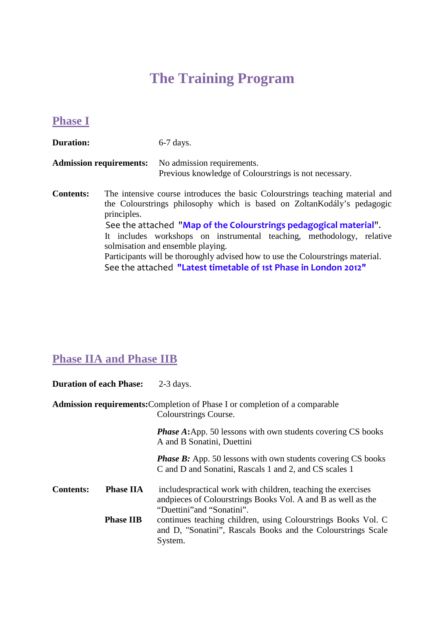## **The Training Program**

### **Phase I**

**Duration:** 6-7 days. **Admission requirements:** No admission requirements. Previous knowledge of Colourstrings is not necessary. **Contents:** The intensive course introduces the basic Colourstrings teaching material and the Colourstrings philosophy which is based on ZoltanKodály's pedagogic principles. See the attached "**Map of the Colourstrings pedagogical material**". It includes workshops on instrumental teaching, methodology, relative solmisation and ensemble playing. Participants will be thoroughly advised how to use the Colourstrings material.

See the attached **"Latest timetable of 1st Phase in London 2012"**

## **Phase IIA and Phase IIB**

| <b>Duration of each Phase:</b> |                  | $2-3$ days.                                                                                                                                                  |
|--------------------------------|------------------|--------------------------------------------------------------------------------------------------------------------------------------------------------------|
|                                |                  | <b>Admission requirements: Completion of Phase I or completion of a comparable</b><br>Colourstrings Course.                                                  |
|                                |                  | <b>Phase A:</b> App. 50 lessons with own students covering CS books<br>A and B Sonatini, Duettini                                                            |
|                                |                  | <b>Phase B:</b> App. 50 lessons with own students covering CS books<br>C and D and Sonatini, Rascals 1 and 2, and CS scales 1                                |
| <b>Contents:</b>               | <b>Phase IIA</b> | includes practical work with children, teaching the exercises<br>and pieces of Colourstrings Books Vol. A and B as well as the<br>"Duettini" and "Sonatini". |
|                                | <b>Phase IIB</b> | continues teaching children, using Colourstrings Books Vol. C<br>and D, "Sonatini", Rascals Books and the Colourstrings Scale<br>System.                     |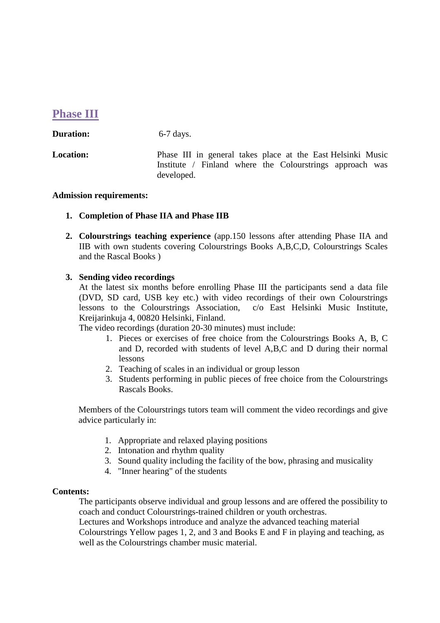### **Phase III**

| <b>Duration:</b> | $6-7$ days. |
|------------------|-------------|
|------------------|-------------|

**Location:** Phase III in general takes place at the East Helsinki Music Institute / Finland where the Colourstrings approach was developed.

#### **Admission requirements:**

#### **1. Completion of Phase IIA and Phase IIB**

**2. Colourstrings teaching experience** (app.150 lessons after attending Phase IIA and IIB with own students covering Colourstrings Books A,B,C,D, Colourstrings Scales and the Rascal Books )

#### **3. Sending video recordings**

At the latest six months before enrolling Phase III the participants send a data file (DVD, SD card, USB key etc.) with video recordings of their own Colourstrings lessons to the Colourstrings Association, c/o East Helsinki Music Institute, Kreijarinkuja 4, 00820 Helsinki, Finland.

The video recordings (duration 20-30 minutes) must include:

- 1. Pieces or exercises of free choice from the Colourstrings Books A, B, C and D, recorded with students of level A,B,C and D during their normal lessons
- 2. Teaching of scales in an individual or group lesson
- 3. Students performing in public pieces of free choice from the Colourstrings Rascals Books.

Members of the Colourstrings tutors team will comment the video recordings and give advice particularly in:

- 1. Appropriate and relaxed playing positions
- 2. Intonation and rhythm quality
- 3. Sound quality including the facility of the bow, phrasing and musicality
- 4. "Inner hearing" of the students

#### **Contents:**

The participants observe individual and group lessons and are offered the possibility to coach and conduct Colourstrings-trained children or youth orchestras. Lectures and Workshops introduce and analyze the advanced teaching material Colourstrings Yellow pages 1, 2, and 3 and Books E and F in playing and teaching, as

well as the Colourstrings chamber music material.